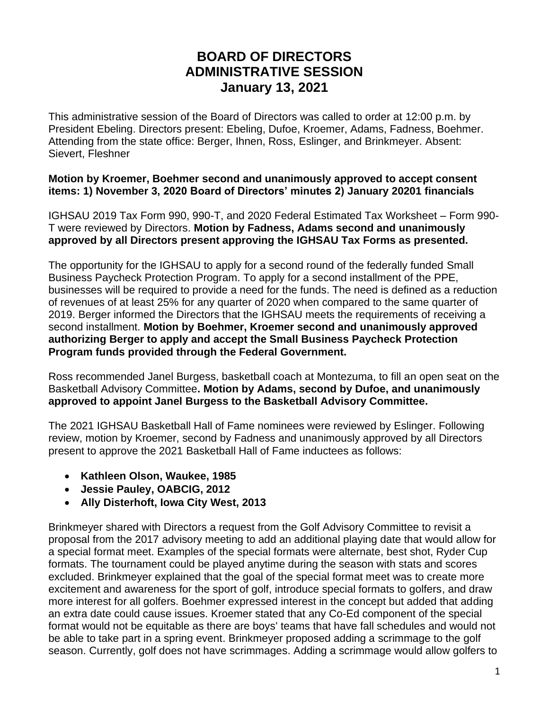## **BOARD OF DIRECTORS ADMINISTRATIVE SESSION January 13, 2021**

This administrative session of the Board of Directors was called to order at 12:00 p.m. by President Ebeling. Directors present: Ebeling, Dufoe, Kroemer, Adams, Fadness, Boehmer. Attending from the state office: Berger, Ihnen, Ross, Eslinger, and Brinkmeyer. Absent: Sievert, Fleshner

## **Motion by Kroemer, Boehmer second and unanimously approved to accept consent items: 1) November 3, 2020 Board of Directors' minutes 2) January 20201 financials**

IGHSAU 2019 Tax Form 990, 990-T, and 2020 Federal Estimated Tax Worksheet – Form 990- T were reviewed by Directors. **Motion by Fadness, Adams second and unanimously approved by all Directors present approving the IGHSAU Tax Forms as presented.** 

The opportunity for the IGHSAU to apply for a second round of the federally funded Small Business Paycheck Protection Program. To apply for a second installment of the PPE, businesses will be required to provide a need for the funds. The need is defined as a reduction of revenues of at least 25% for any quarter of 2020 when compared to the same quarter of 2019. Berger informed the Directors that the IGHSAU meets the requirements of receiving a second installment. **Motion by Boehmer, Kroemer second and unanimously approved authorizing Berger to apply and accept the Small Business Paycheck Protection Program funds provided through the Federal Government.** 

Ross recommended Janel Burgess, basketball coach at Montezuma, to fill an open seat on the Basketball Advisory Committee**. Motion by Adams, second by Dufoe, and unanimously approved to appoint Janel Burgess to the Basketball Advisory Committee.**

The 2021 IGHSAU Basketball Hall of Fame nominees were reviewed by Eslinger. Following review, motion by Kroemer, second by Fadness and unanimously approved by all Directors present to approve the 2021 Basketball Hall of Fame inductees as follows:

- **Kathleen Olson, Waukee, 1985**
- **Jessie Pauley, OABCIG, 2012**
- **Ally Disterhoft, Iowa City West, 2013**

Brinkmeyer shared with Directors a request from the Golf Advisory Committee to revisit a proposal from the 2017 advisory meeting to add an additional playing date that would allow for a special format meet. Examples of the special formats were alternate, best shot, Ryder Cup formats. The tournament could be played anytime during the season with stats and scores excluded. Brinkmeyer explained that the goal of the special format meet was to create more excitement and awareness for the sport of golf, introduce special formats to golfers, and draw more interest for all golfers. Boehmer expressed interest in the concept but added that adding an extra date could cause issues. Kroemer stated that any Co-Ed component of the special format would not be equitable as there are boys' teams that have fall schedules and would not be able to take part in a spring event. Brinkmeyer proposed adding a scrimmage to the golf season. Currently, golf does not have scrimmages. Adding a scrimmage would allow golfers to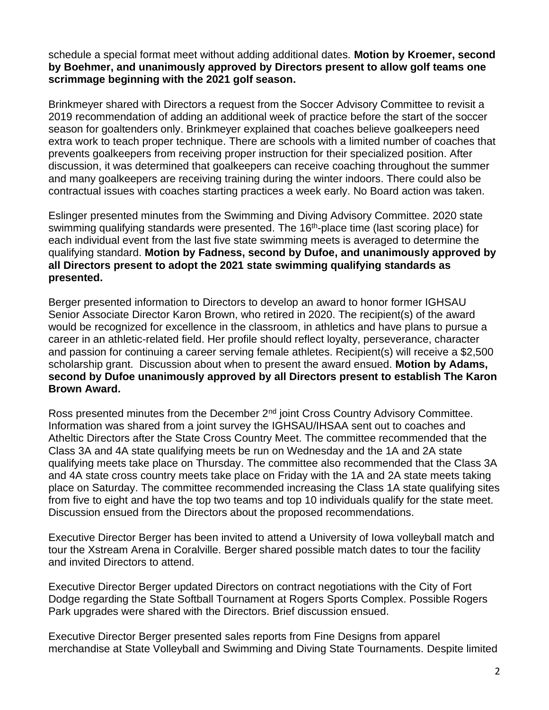schedule a special format meet without adding additional dates. **Motion by Kroemer, second by Boehmer, and unanimously approved by Directors present to allow golf teams one scrimmage beginning with the 2021 golf season.**

Brinkmeyer shared with Directors a request from the Soccer Advisory Committee to revisit a 2019 recommendation of adding an additional week of practice before the start of the soccer season for goaltenders only. Brinkmeyer explained that coaches believe goalkeepers need extra work to teach proper technique. There are schools with a limited number of coaches that prevents goalkeepers from receiving proper instruction for their specialized position. After discussion, it was determined that goalkeepers can receive coaching throughout the summer and many goalkeepers are receiving training during the winter indoors. There could also be contractual issues with coaches starting practices a week early. No Board action was taken.

Eslinger presented minutes from the Swimming and Diving Advisory Committee. 2020 state swimming qualifying standards were presented. The 16<sup>th</sup>-place time (last scoring place) for each individual event from the last five state swimming meets is averaged to determine the qualifying standard. **Motion by Fadness, second by Dufoe, and unanimously approved by all Directors present to adopt the 2021 state swimming qualifying standards as presented.**

Berger presented information to Directors to develop an award to honor former IGHSAU Senior Associate Director Karon Brown, who retired in 2020. The recipient(s) of the award would be recognized for excellence in the classroom, in athletics and have plans to pursue a career in an athletic-related field. Her profile should reflect loyalty, perseverance, character and passion for continuing a career serving female athletes. Recipient(s) will receive a \$2,500 scholarship grant. Discussion about when to present the award ensued. **Motion by Adams, second by Dufoe unanimously approved by all Directors present to establish The Karon Brown Award.**

Ross presented minutes from the December 2<sup>nd</sup> joint Cross Country Advisory Committee. Information was shared from a joint survey the IGHSAU/IHSAA sent out to coaches and Atheltic Directors after the State Cross Country Meet. The committee recommended that the Class 3A and 4A state qualifying meets be run on Wednesday and the 1A and 2A state qualifying meets take place on Thursday. The committee also recommended that the Class 3A and 4A state cross country meets take place on Friday with the 1A and 2A state meets taking place on Saturday. The committee recommended increasing the Class 1A state qualifying sites from five to eight and have the top two teams and top 10 individuals qualify for the state meet. Discussion ensued from the Directors about the proposed recommendations.

Executive Director Berger has been invited to attend a University of Iowa volleyball match and tour the Xstream Arena in Coralville. Berger shared possible match dates to tour the facility and invited Directors to attend.

Executive Director Berger updated Directors on contract negotiations with the City of Fort Dodge regarding the State Softball Tournament at Rogers Sports Complex. Possible Rogers Park upgrades were shared with the Directors. Brief discussion ensued.

Executive Director Berger presented sales reports from Fine Designs from apparel merchandise at State Volleyball and Swimming and Diving State Tournaments. Despite limited